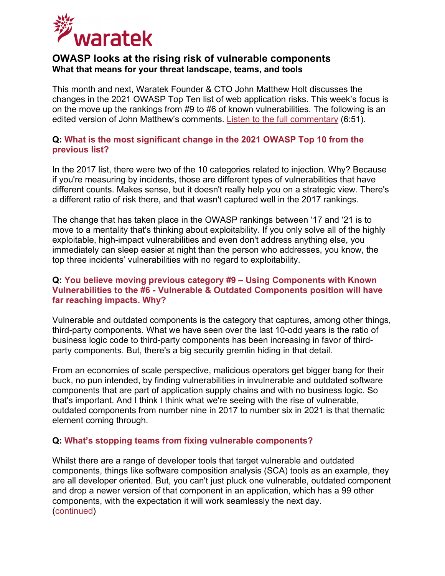

# **OWASP looks at the rising risk of vulnerable components What that means for your threat landscape, teams, and tools**

This month and next, Waratek Founder & CTO John Matthew Holt discusses the changes in the 2021 OWASP Top Ten list of web application risks. This week's focus is on the move up the rankings from #9 to #6 of known vulnerabilities. The following is an edited version of John Matthew's comments. [Listen to the full commentary](https://www.waratek.com/wp-content/uploads/2021/11/20211118-OWASP-Q-A-Exploitability-vs-Incidents.mp3) (6:51).

## **Q: What is the most significant change in the 2021 OWASP Top 10 from the previous list?**

In the 2017 list, there were two of the 10 categories related to injection. Why? Because if you're measuring by incidents, those are different types of vulnerabilities that have different counts. Makes sense, but it doesn't really help you on a strategic view. There's a different ratio of risk there, and that wasn't captured well in the 2017 rankings.

The change that has taken place in the OWASP rankings between '17 and '21 is to move to a mentality that's thinking about exploitability. If you only solve all of the highly exploitable, high-impact vulnerabilities and even don't address anything else, you immediately can sleep easier at night than the person who addresses, you know, the top three incidents' vulnerabilities with no regard to exploitability.

## **Q: You believe moving previous category #9 – Using Components with Known Vulnerabilities to the #6 - Vulnerable & Outdated Components position will have far reaching impacts. Why?**

Vulnerable and outdated components is the category that captures, among other things, third-party components. What we have seen over the last 10-odd years is the ratio of business logic code to third-party components has been increasing in favor of thirdparty components. But, there's a big security gremlin hiding in that detail.

From an economies of scale perspective, malicious operators get bigger bang for their buck, no pun intended, by finding vulnerabilities in invulnerable and outdated software components that are part of application supply chains and with no business logic. So that's important. And I think I think what we're seeing with the rise of vulnerable, outdated components from number nine in 2017 to number six in 2021 is that thematic element coming through.

#### **Q: What's stopping teams from fixing vulnerable components?**

Whilst there are a range of developer tools that target vulnerable and outdated components, things like software composition analysis (SCA) tools as an example, they are all developer oriented. But, you can't just pluck one vulnerable, outdated component and drop a newer version of that component in an application, which has a 99 other components, with the expectation it will work seamlessly the next day. (continued)